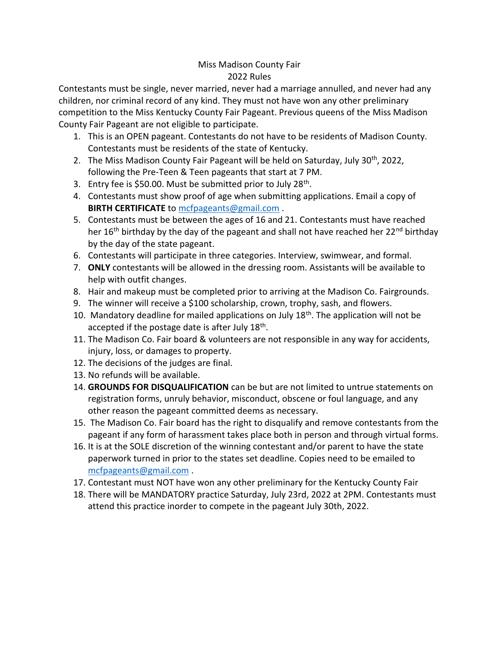## Miss Madison County Fair 2022 Rules

Contestants must be single, never married, never had a marriage annulled, and never had any children, nor criminal record of any kind. They must not have won any other preliminary competition to the Miss Kentucky County Fair Pageant. Previous queens of the Miss Madison County Fair Pageant are not eligible to participate.

- 1. This is an OPEN pageant. Contestants do not have to be residents of Madison County. Contestants must be residents of the state of Kentucky.
- 2. The Miss Madison County Fair Pageant will be held on Saturday, July 30<sup>th</sup>, 2022, following the Pre-Teen & Teen pageants that start at 7 PM.
- 3. Entry fee is \$50.00. Must be submitted prior to July 28<sup>th</sup>.
- 4. Contestants must show proof of age when submitting applications. Email a copy of **BIRTH CERTIFICATE** to [mcfpageants@gmail.com](mailto:mcfpageants@gmail.com) .
- 5. Contestants must be between the ages of 16 and 21. Contestants must have reached her 16<sup>th</sup> birthday by the day of the pageant and shall not have reached her 22<sup>nd</sup> birthday by the day of the state pageant.
- 6. Contestants will participate in three categories. Interview, swimwear, and formal.
- 7. **ONLY** contestants will be allowed in the dressing room. Assistants will be available to help with outfit changes.
- 8. Hair and makeup must be completed prior to arriving at the Madison Co. Fairgrounds.
- 9. The winner will receive a \$100 scholarship, crown, trophy, sash, and flowers.
- 10. Mandatory deadline for mailed applications on July  $18<sup>th</sup>$ . The application will not be accepted if the postage date is after July 18<sup>th</sup>.
- 11. The Madison Co. Fair board & volunteers are not responsible in any way for accidents, injury, loss, or damages to property.
- 12. The decisions of the judges are final.
- 13. No refunds will be available.
- 14. **GROUNDS FOR DISQUALIFICATION** can be but are not limited to untrue statements on registration forms, unruly behavior, misconduct, obscene or foul language, and any other reason the pageant committed deems as necessary.
- 15. The Madison Co. Fair board has the right to disqualify and remove contestants from the pageant if any form of harassment takes place both in person and through virtual forms.
- 16. It is at the SOLE discretion of the winning contestant and/or parent to have the state paperwork turned in prior to the states set deadline. Copies need to be emailed to [mcfpageants@gmail.com](mailto:mcfpageants@gmail.com) .
- 17. Contestant must NOT have won any other preliminary for the Kentucky County Fair
- 18. There will be MANDATORY practice Saturday, July 23rd, 2022 at 2PM. Contestants must attend this practice inorder to compete in the pageant July 30th, 2022.